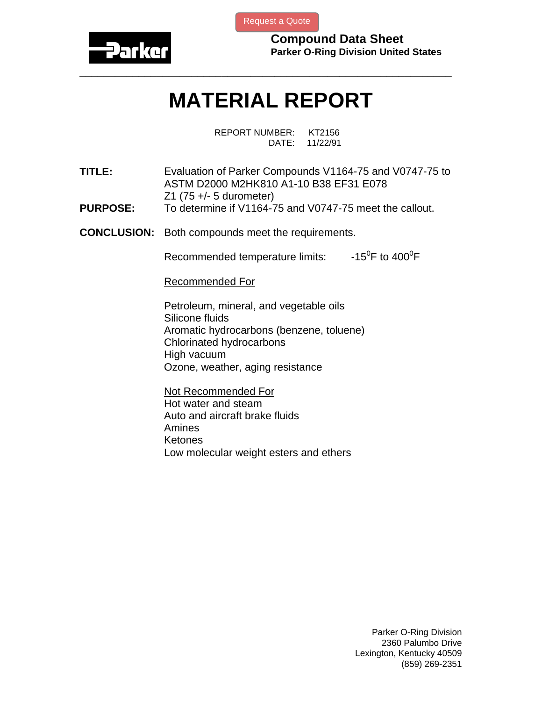

[Request a Quote](http://www.marcorubber.com/contact_quote.htm?material=Parker+V0747-75UHP)

**Compound Data Sheet Parker O-Ring Division United States** 

## **MATERIAL REPORT**

**\_\_\_\_\_\_\_\_\_\_\_\_\_\_\_\_\_\_\_\_\_\_\_\_\_\_\_\_\_\_\_\_\_\_\_\_\_\_\_\_\_\_\_\_\_\_\_\_\_\_\_\_\_\_\_\_\_\_\_\_\_\_\_** 

REPORT NUMBER: KT2156 DATE: 11/22/91

**TITLE:** Evaluation of Parker Compounds V1164-75 and V0747-75 to ASTM D2000 M2HK810 A1-10 B38 EF31 E078 Z1 (75 +/- 5 durometer)

- **PURPOSE:** To determine if V1164-75 and V0747-75 meet the callout.
- **CONCLUSION:** Both compounds meet the requirements.

Recommended temperature limits:  $F$  to 400 $^0$ F

Recommended For

Petroleum, mineral, and vegetable oils Silicone fluids Aromatic hydrocarbons (benzene, toluene) Chlorinated hydrocarbons High vacuum Ozone, weather, aging resistance

Not Recommended For Hot water and steam Auto and aircraft brake fluids Amines Ketones Low molecular weight esters and ethers

> Parker O-Ring Division 2360 Palumbo Drive Lexington, Kentucky 40509 (859) 269-2351